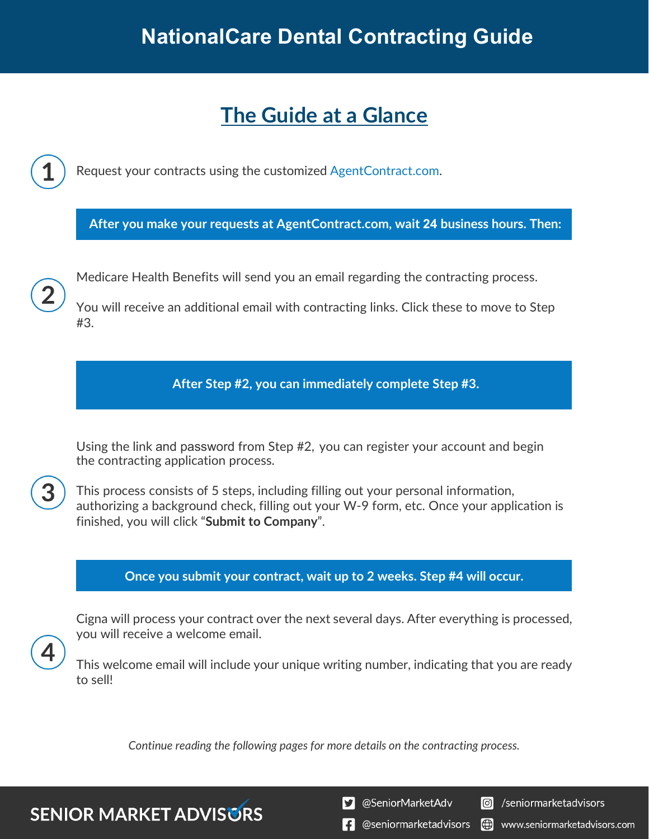# **The Guide at a Glance**

Request your contracts using the customized [AgentContract.com.](http://agentcontracting.com/)

**After you make your requests at AgentContract.com, wait 24 business hours. Then:** 

Medicare Health Benefits will send you an email regarding the contracting process.

You will receive an additional email with contracting links. Click these to move to Step #3.

**After Step #2, you can immediately complete Step #3.** 

Using the link and password from Step #2, you can register your account and begin the contracting application process.



This process consists of 5 steps, including filling out your personal information, authorizing a background check, filling out your W-9 form, etc. Once your application is finished, you will click "**Submit to Company**".

#### **Once you submit your contract, wait up to 2 weeks. Step #4 will occur.**

Cigna will process your contract over the next several days. After everything is processed, you will receive a welcome email.

This welcome email will include your unique writing number, indicating that you are ready to sell!

*Continue reading the following pages for more details on the contracting process.*

**SENIOR MARKET ADVISURS** 

S @SeniorMarketAdv

Seniormarketadvisors

**1** @seniormarketadvisors (.) www.seniormarketadvisors.com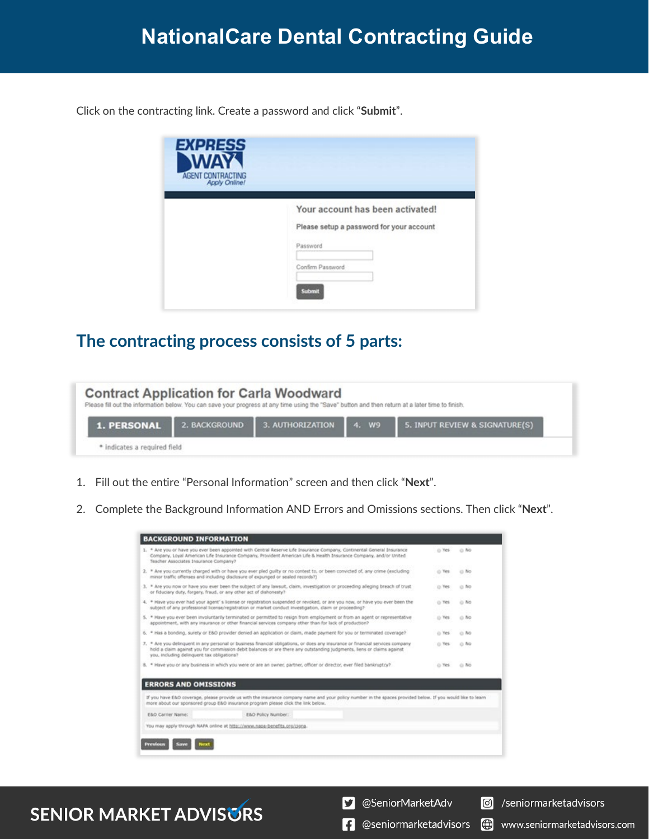# **NationalCare Dental Contracting Guide**

Clic ont econtracting in enter t e a ord ro ided in our e anild clic u  $it.$ 

#### RPSOHWHMHEHWESTRUPDWR:

# SENIOR MARKET ADVISURS

S @SeniorMarketAdv

Seniormarketadvisors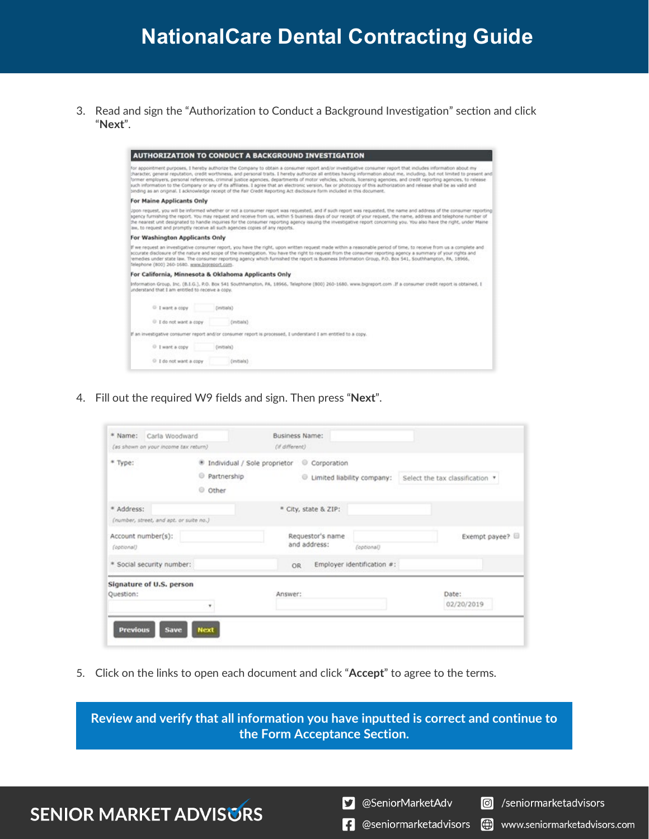# **NationalCare Dental Contracting Guide**

| <b>Contact Information</b>                                                                                                                                                                                                                                                                                                                                                                                                                                                                                                                                                                                                                                                                                                                                                                                                                                                                                                                                                                                                                                                                                                                                                                                                                                                                                                                          |
|-----------------------------------------------------------------------------------------------------------------------------------------------------------------------------------------------------------------------------------------------------------------------------------------------------------------------------------------------------------------------------------------------------------------------------------------------------------------------------------------------------------------------------------------------------------------------------------------------------------------------------------------------------------------------------------------------------------------------------------------------------------------------------------------------------------------------------------------------------------------------------------------------------------------------------------------------------------------------------------------------------------------------------------------------------------------------------------------------------------------------------------------------------------------------------------------------------------------------------------------------------------------------------------------------------------------------------------------------------|
| Main Phone *<br>Alt Phone<br>Fax                                                                                                                                                                                                                                                                                                                                                                                                                                                                                                                                                                                                                                                                                                                                                                                                                                                                                                                                                                                                                                                                                                                                                                                                                                                                                                                    |
| $  \rangle$<br>ы<br>Email Address *<br>Your Picture or Logo                                                                                                                                                                                                                                                                                                                                                                                                                                                                                                                                                                                                                                                                                                                                                                                                                                                                                                                                                                                                                                                                                                                                                                                                                                                                                         |
| Choose File   No file chosen                                                                                                                                                                                                                                                                                                                                                                                                                                                                                                                                                                                                                                                                                                                                                                                                                                                                                                                                                                                                                                                                                                                                                                                                                                                                                                                        |
| Information about you or your company:                                                                                                                                                                                                                                                                                                                                                                                                                                                                                                                                                                                                                                                                                                                                                                                                                                                                                                                                                                                                                                                                                                                                                                                                                                                                                                              |
|                                                                                                                                                                                                                                                                                                                                                                                                                                                                                                                                                                                                                                                                                                                                                                                                                                                                                                                                                                                                                                                                                                                                                                                                                                                                                                                                                     |
| Responsible Individual/Owner                                                                                                                                                                                                                                                                                                                                                                                                                                                                                                                                                                                                                                                                                                                                                                                                                                                                                                                                                                                                                                                                                                                                                                                                                                                                                                                        |
| Date of Birth<br>Social Security #<br><b>DL Number</b><br>Driver's License<br><b>TELE</b><br>Select<br>$\check{ }$                                                                                                                                                                                                                                                                                                                                                                                                                                                                                                                                                                                                                                                                                                                                                                                                                                                                                                                                                                                                                                                                                                                                                                                                                                  |
| Agent Type<br><b>State Registered</b><br><b>Type of Company</b><br>∼<br>$\vert$ Select $\ldots$<br>$\check{ }$                                                                                                                                                                                                                                                                                                                                                                                                                                                                                                                                                                                                                                                                                                                                                                                                                                                                                                                                                                                                                                                                                                                                                                                                                                      |
| <b>Access to Your Back Office</b>                                                                                                                                                                                                                                                                                                                                                                                                                                                                                                                                                                                                                                                                                                                                                                                                                                                                                                                                                                                                                                                                                                                                                                                                                                                                                                                   |
| Pick a Password *<br>Pick a Username *                                                                                                                                                                                                                                                                                                                                                                                                                                                                                                                                                                                                                                                                                                                                                                                                                                                                                                                                                                                                                                                                                                                                                                                                                                                                                                              |
| <b>ID Numbers</b>                                                                                                                                                                                                                                                                                                                                                                                                                                                                                                                                                                                                                                                                                                                                                                                                                                                                                                                                                                                                                                                                                                                                                                                                                                                                                                                                   |
| Federal Tax ID or Social Security Number * Tax ID Type *<br>NPN Number * - SEARCH<br>$\check{ }$                                                                                                                                                                                                                                                                                                                                                                                                                                                                                                                                                                                                                                                                                                                                                                                                                                                                                                                                                                                                                                                                                                                                                                                                                                                    |
| Will you be Recruiting? *<br>$\bigcirc$ Yes $\bigcirc$ No                                                                                                                                                                                                                                                                                                                                                                                                                                                                                                                                                                                                                                                                                                                                                                                                                                                                                                                                                                                                                                                                                                                                                                                                                                                                                           |
| <b>E&amp;O Coverage</b>                                                                                                                                                                                                                                                                                                                                                                                                                                                                                                                                                                                                                                                                                                                                                                                                                                                                                                                                                                                                                                                                                                                                                                                                                                                                                                                             |
| E&O CoverageE&O Amount<br>E&O Expiration<br>Attach E&O Document<br>○ Yes ○ No<br>$\blacksquare$ Choose File   No file chosen                                                                                                                                                                                                                                                                                                                                                                                                                                                                                                                                                                                                                                                                                                                                                                                                                                                                                                                                                                                                                                                                                                                                                                                                                        |
| <b>Bank Account Information</b>                                                                                                                                                                                                                                                                                                                                                                                                                                                                                                                                                                                                                                                                                                                                                                                                                                                                                                                                                                                                                                                                                                                                                                                                                                                                                                                     |
| Bank Routing Number *<br>Bank Account Number *<br><b>Banking Institution Name</b>                                                                                                                                                                                                                                                                                                                                                                                                                                                                                                                                                                                                                                                                                                                                                                                                                                                                                                                                                                                                                                                                                                                                                                                                                                                                   |
|                                                                                                                                                                                                                                                                                                                                                                                                                                                                                                                                                                                                                                                                                                                                                                                                                                                                                                                                                                                                                                                                                                                                                                                                                                                                                                                                                     |
| Account Type *<br>Checking Type *<br>$\cup$ Checking $\cup$ Savings<br>$\bigcirc$ Individual $\bigcirc$ Business                                                                                                                                                                                                                                                                                                                                                                                                                                                                                                                                                                                                                                                                                                                                                                                                                                                                                                                                                                                                                                                                                                                                                                                                                                    |
| Your License                                                                                                                                                                                                                                                                                                                                                                                                                                                                                                                                                                                                                                                                                                                                                                                                                                                                                                                                                                                                                                                                                                                                                                                                                                                                                                                                        |
| Add License                                                                                                                                                                                                                                                                                                                                                                                                                                                                                                                                                                                                                                                                                                                                                                                                                                                                                                                                                                                                                                                                                                                                                                                                                                                                                                                                         |
| Upload Your Forms<br>Click here to download W-9 form to fill out.                                                                                                                                                                                                                                                                                                                                                                                                                                                                                                                                                                                                                                                                                                                                                                                                                                                                                                                                                                                                                                                                                                                                                                                                                                                                                   |
| Upload W-9 Form *                                                                                                                                                                                                                                                                                                                                                                                                                                                                                                                                                                                                                                                                                                                                                                                                                                                                                                                                                                                                                                                                                                                                                                                                                                                                                                                                   |
| Choose File   No file chosen                                                                                                                                                                                                                                                                                                                                                                                                                                                                                                                                                                                                                                                                                                                                                                                                                                                                                                                                                                                                                                                                                                                                                                                                                                                                                                                        |
| Compensation                                                                                                                                                                                                                                                                                                                                                                                                                                                                                                                                                                                                                                                                                                                                                                                                                                                                                                                                                                                                                                                                                                                                                                                                                                                                                                                                        |
| 1st Year = $15%$<br>Renewals = 15%                                                                                                                                                                                                                                                                                                                                                                                                                                                                                                                                                                                                                                                                                                                                                                                                                                                                                                                                                                                                                                                                                                                                                                                                                                                                                                                  |
| Agreement                                                                                                                                                                                                                                                                                                                                                                                                                                                                                                                                                                                                                                                                                                                                                                                                                                                                                                                                                                                                                                                                                                                                                                                                                                                                                                                                           |
| GENERAL AGENT AGREEMENT<br>This General Agent Agreement ("Agreement") and the Commission Schedule<br>attached hereto (or delivered contemporaneously herewith), is made by<br>and between the first signatory stated below ("General Agent") and<br>Innovative Health Insurance Partners LLC (hereinafter referred to as<br>"IHIP" or "the Company") on date of last signature for the purpose of<br>conducting insurance sales and marketing activities. This General Agent<br>Agreement ("Agreement") and the Commission Schedule attached hereto (or<br>delivered contemporaneously herewith), is made by and between the first<br>signatory stated below ("General Agent") and Innovative Health Insurance<br>Partners LLC (hereinafter referred to as "IHIP" or "the Company") on<br>date of last signature for the purpose of conducting insurance sales and<br>marketing activities.<br>IHIP is an insurance sales agency that sells, markets and/or enrolls<br>insurance policies and non-insurance products of various companies,<br>including insurance carriers. IHIP desires to engage the services of<br>General Agent to market, sell and/or enroll products marketed by IHIP.<br>Before soliciting any potential customer or client, General Agent agrees<br>to provide copies of all required insurance and other licenses required |
| by law for the solicitation of insurance sales. IHIP is an insurance<br>$\Box$ Check this box if you have read, understand and agree to the agreement $\ddot{\,}$                                                                                                                                                                                                                                                                                                                                                                                                                                                                                                                                                                                                                                                                                                                                                                                                                                                                                                                                                                                                                                                                                                                                                                                   |

**Review and verify that all information you have inputted is correct and continue to the Form Acceptance Section.**

#### **SENIOR MARKET ADVISURS**

S @SeniorMarketAdv

Seniormarketadvisors

**f** @seniormarketadvisors www.seniormarketadvisors.com